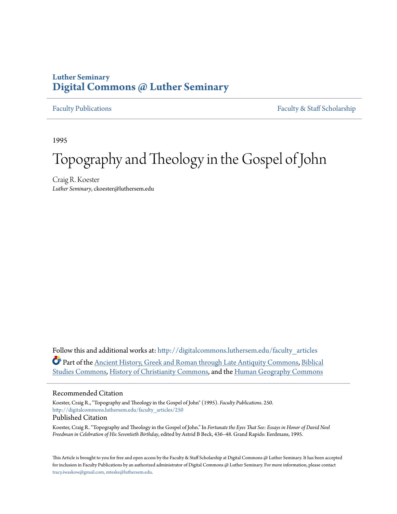## **Luther Seminary [Digital Commons @ Luther Seminary](http://digitalcommons.luthersem.edu?utm_source=digitalcommons.luthersem.edu%2Ffaculty_articles%2F250&utm_medium=PDF&utm_campaign=PDFCoverPages)**

[Faculty Publications](http://digitalcommons.luthersem.edu/faculty_articles?utm_source=digitalcommons.luthersem.edu%2Ffaculty_articles%2F250&utm_medium=PDF&utm_campaign=PDFCoverPages) [Faculty & Staff Scholarship](http://digitalcommons.luthersem.edu/faculty_staff?utm_source=digitalcommons.luthersem.edu%2Ffaculty_articles%2F250&utm_medium=PDF&utm_campaign=PDFCoverPages)

1995

# Topography and Theology in the Gospel of John

Craig R. Koester *Luther Seminary*, ckoester@luthersem.edu

Follow this and additional works at: [http://digitalcommons.luthersem.edu/faculty\\_articles](http://digitalcommons.luthersem.edu/faculty_articles?utm_source=digitalcommons.luthersem.edu%2Ffaculty_articles%2F250&utm_medium=PDF&utm_campaign=PDFCoverPages) Part of the [Ancient History, Greek and Roman through Late Antiquity Commons](http://network.bepress.com/hgg/discipline/447?utm_source=digitalcommons.luthersem.edu%2Ffaculty_articles%2F250&utm_medium=PDF&utm_campaign=PDFCoverPages), [Biblical](http://network.bepress.com/hgg/discipline/539?utm_source=digitalcommons.luthersem.edu%2Ffaculty_articles%2F250&utm_medium=PDF&utm_campaign=PDFCoverPages) [Studies Commons](http://network.bepress.com/hgg/discipline/539?utm_source=digitalcommons.luthersem.edu%2Ffaculty_articles%2F250&utm_medium=PDF&utm_campaign=PDFCoverPages), [History of Christianity Commons](http://network.bepress.com/hgg/discipline/1182?utm_source=digitalcommons.luthersem.edu%2Ffaculty_articles%2F250&utm_medium=PDF&utm_campaign=PDFCoverPages), and the [Human Geography Commons](http://network.bepress.com/hgg/discipline/356?utm_source=digitalcommons.luthersem.edu%2Ffaculty_articles%2F250&utm_medium=PDF&utm_campaign=PDFCoverPages)

#### Recommended Citation

Koester, Craig R., "Topography and Theology in the Gospel of John" (1995). *Faculty Publications*. 250. [http://digitalcommons.luthersem.edu/faculty\\_articles/250](http://digitalcommons.luthersem.edu/faculty_articles/250?utm_source=digitalcommons.luthersem.edu%2Ffaculty_articles%2F250&utm_medium=PDF&utm_campaign=PDFCoverPages) Published Citation

Koester, Craig R. "Topography and Theology in the Gospel of John." In *Fortunate the Eyes That See: Essays in Honor of David Noel Freedman in Celebration of His Seventieth Birthday*, edited by Astrid B Beck, 436–48. Grand Rapids: Eerdmans, 1995.

This Article is brought to you for free and open access by the Faculty & Staff Scholarship at Digital Commons @ Luther Seminary. It has been accepted for inclusion in Faculty Publications by an authorized administrator of Digital Commons @ Luther Seminary. For more information, please contact [tracy.iwaskow@gmail.com, mteske@luthersem.edu](mailto:tracy.iwaskow@gmail.com,%20mteske@luthersem.edu).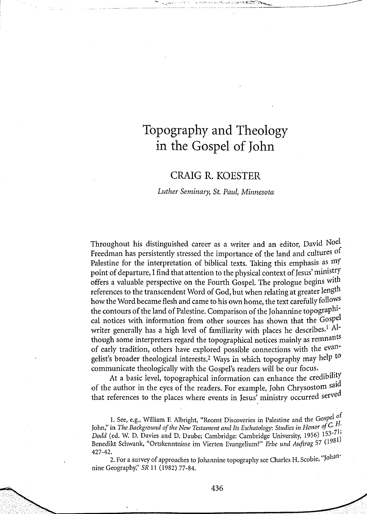### *CRAIG R. KOESTER*

#### *Luther Seminary, St. Paul, Minnesota*

*Throughout his distinguished career as a writer and an editor, David Noel Freedman has persistently stressed the importance of the land and cultures of Palestine for the interpretation of biblical texts. Taking this emphasis as my point of departure, I find that attention to the physical context ofJesus' ministry offers a valuable perspective on the Fourth Gospel. The prologue begins with references to the transcendent Word of God, but when relating at greater length how the Word became flesh and came to his own home, the text carefully follows the contours ofthe land of Palestine. Comparison ofthe Johannine topographical notices with information from other sources has shown that the Gospel writer generally has a high level of familiarity with places he describes.<sup>1</sup> Although some interpreters regard the topographical notices mainly as remnants of early tradition, others have explored possible connections with the evangelist's broader theological interests.<sup>2</sup> Ways in which topography may help to communicate theologically with the Gospel's readers will be our focus.*

*At a basic level, topographical information can enhance the credibility of the author in the eyes of the readers. For example, John Chrysostom sal that references to the places where events in Jesus' ministry occurred serve*

*1. See, e.g., William F. Albright, "Recent Discoveries in Palestine and the Gospe ° John,*<sup>*"*</sup> in *The Background of the New Testament and Its Eschatology: Studies in Honor of C. H. Dodd (ed. W. D. Davies and D. Daube; Cambridge: Cambridge University, 1956) 153- ' Benedikt Schwank, "Ortskenntnisse im Vierten Evangelium?" Erbe und Auftrag 57 (1" 427-42.*

*2. For a survey of approaches to Johannine topography see Charles H. Scobie, Joha nine Geography," SR 11 (1982) 77-84.*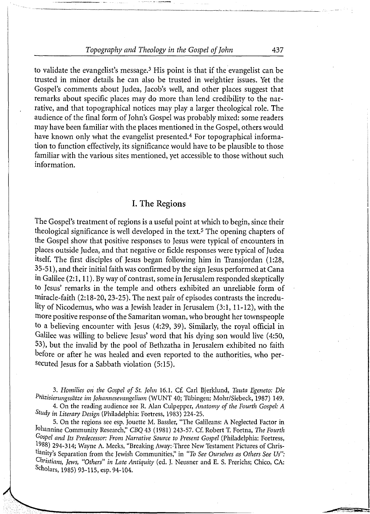*to validate the evangelist's message.<sup>3</sup> His point is that if the evangelist can be trusted in minor details he can also be trusted in weightier issues. Yet the Gospel's comments about Judea, Jacob's well, and other places suggest that remarks about specific places may do more than lend credibility to the narrative, and that topographical notices may play a larger theological role. The audience ofthe final form ofJohn's Gospel was probably mixed: some readers may have been familiar with the places mentioned in the Gospel, others would have known only what the evangelist presented.<sup>4</sup> For topographical information to function effectively, its significance would have to be plausible to those familiar with the various sites mentioned, yet accessible to those without such information.*

#### *I. The Regions*

*The Gospel's treatment of regions is a useful point at which to begin, since their theological significance is well developed in the text.<sup>5</sup> The opening chapters of the Gospel show that positive responses to Jesus were typical of encounters in places outside Judea, and that negative or fickle responses were typical ofJudea itself. The first disciples of Jesus began following him in Transjordan (1:28, 35-51), and their initial faith was confirmed by the sign Jesus performed at Cana in Galilee (2:1,11). Byway of contrast, some in Jerusalem responded skeptically to Jesus' remarks in the temple and others exhibited an unreliable form of miracle-faith (2:18-20,23-25). The next pair of episodes contrasts the incredulity of Nicodemus, who was a Jewish leader in Jerusalem (3:1, 11-12), with the more positive response ofthe Samaritan woman, who brought her townspeople to a believing encounter with Jesus (4:29, 39). Similarly, the royal official in Galilee was willing to believe Jesus' word that his dying son would live (4:50, 33), but the invalid by the pool of Bethzatha in Jerusalem exhibited no faith before or after he was healed and even reported to the authorities, who persecuted Jesus for a Sabbath violation (5:15).*

*3. Homilies on the Gospel of St. John 16.1. Cf. Carl Bjerklund, Tauta Egeneto: Die Prtizisierungssatze im Johannesevangelium (WUNT 40; Tubingen: Mohr/Siebeck, 1987) 149. 4. On the reading audience see R. Alan Culpepper, Anatomy of the Fourth Gospel: A*

*Study in Literary Design (Philadelphia: Fortress, 1983) 224-25.*

*5. On the regions see esp. Jouette M. Bassler, "The Galileans: A Neglected Factor in lohannine Community Research," CBQ 43 (1981) 243-57. Cf. Robert T. Fortna, The Fourth Gospel and Its Predecessor: From Narrative Source to Present Gospel (Philadelphia: Fortress, 1988) 294-314; Wayne A. Meeks, "Breaking Away:Three New Testament Pictures of Christianity's Separation from the Jewish Communities," in "To See Ourselves as Others See Us": Ghristians, Jews, "Others" in Late Antiquity (ed. J. Neusner and E. S. Frerichs; Chico, CA: Scholars, 1985) 93-115, esp. 94-104.*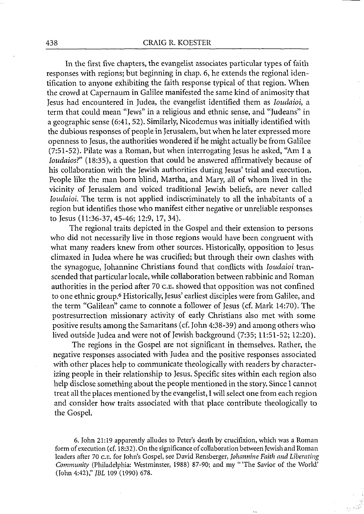*In the first five chapters, the evangelist associates particular types of faith responses with regions; but beginning in chap. 6, he extends the regional identification to anyone exhibiting the faith response typical of that region. When the crowd at Capernaum in Galilee manifested the same kind of animosity that Jesus had encountered in Judea, the evangelist identified them as Ioudaioi, a term that could mean "Jews" in a religious and ethnic sense, and "Judeans" in a geographic sense (6:41, 52). Similarly, Nicodemus was initially identified with the dubious responses of people in Jerusalem, butwhen he later expressed more openness to Jesus, the authorities wondered if he might actually be from Galilee (7:51-52). Pilate was a Roman, but when interrogating Jesus he asked, "Am I a Ioudaios?" (18:35), a question that could be answered affirmatively because of his collaboration with the Jewish authorities during Jesus' trial and execution. People like the man born blind, Martha, and Mary, all of whom lived in the vicinity of Jerusalem and voiced traditional Jewish beliefs, are never called Ioudaioi. The term is not applied indiscriminately to all the inhabitants of a region but identifies those who manifest either negative or unreliable responses to Jesus (11:36-37,45-46; 12:9, 17, 34).*

*The regional traits depicted in the Gospel and their extension to persons who did not necessarily live in those regions would have been congruent with what many readers knew from other sources. Historically, opposition to Jesus climaxed in Judea where he was crucified; but through their own clashes with the synagogue, Johannine Christians found that conflicts with Ioudaioi transcended that particular locale, while collaboration between rabbinic and Roman authorities in the period after 70 c.e. showed that opposition was not confined to one ethnic group.<sup>6</sup> Historically, Jesus' earliest disciples were from Galilee, and the term "Galilean" came to connote a follower of Jesus (cf. Mark 14:70). The postresurrection missionary activity of early Christians also met with some positive results among the Samaritans (cf. John 4:38-39) and among others who lived outside Judea and were not ofJewish background (7:35; 11:51-52; 12:20).*

*The regions in the Gospel are not significant in themselves. Rather, the negative responses associated with Judea and the positive responses associated with other places help to communicate theologically with readers by characterizing people in their relationship to Jesus. Specific sites within each region also help disclose something about the people mentioned in the story. Since I cannot treat all the places mentioned by the evangelist, I will select one from each region and consider how traits associated with that place contribute theologically to the Gospel.*

*6. John 21:19 apparently alludes to Peter's death by crucifixion, which was a Roman form of execution (cf. 18:32). On the significance ofcollaboration between Jewish and Roman* leaders after 70 c.E. for John's Gospel, see David Rensberger, Johannine Faith and Liberating *Community (Philadelphia: Westminster, 1988) 87-90; and my "'The Savior of the World' (John 4:42)," JBL 109 (1990) 678.*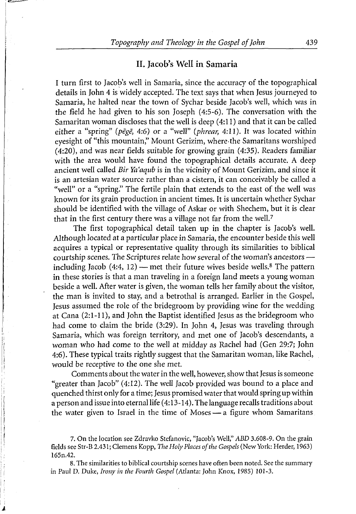#### *II. Jacob's Well in Samaria*

*I turn first to Jacob's well in Samaria, since the accuracy of the topographical details in John 4 is widely accepted. The text says that when Jesus journeyed to Samaria, he halted near the town of Sychar beside Jacob's well, which was in the field he had given to his son Joseph (4:5-6). The conversation with the Samaritan woman discloses that the well is deep (4:11) and that it can be called either a "spring" Ipege, 4:6) or a "well" (phrear, 4:11). It was located within eyesight of "this mountain," Mount Gerizim, where the Samaritans worshiped (4:20), and was near fields suitable for growing grain (4:35). Readers familiar with the area would have found the topographical details accurate. A deep ancient well called Bir Ya'aqub is in the vicinity ofMount Gerizim, and since it is an artesian water source rather than a cistern, it can conceivably be called a "well" or a "spring." The fertile plain that extends to the east of the well was known for its grain production in ancient times. It is uncertain whether Sychar should be identified with the village of Askar or with Shechem, but it is clear that in the first century there was a village not far from the well.<sup>7</sup>*

*The first topographical detail taken up in the chapter is Jacob's well. Although located at a particular place in Samaria, the encounter beside this well acquires a typical or representative quality through its similarities to biblical courtship scenes. The Scriptures relate how several ofthe woman's ancestors including Jacob (4:4, 12) — met their future wives beside wells.<sup>8</sup> The pattern in these stories is that a man traveling in a foreign land meets a young woman beside a well. After water is given, the woman tells her family about the visitor, the man is invited to stay, and a betrothal is arranged. Earlier in the Gospel, Jesus assumed the role of the bridegroom by providing wine for the wedding at Cana (2:1-11), and John the Baptist identified Jesus as the bridegroom who had come to claim the bride (3:29). In John 4, Jesus was traveling through Samaria, which was foreign territory, and met one of Jacob's descendants, a woman who had come to the well at midday as Rachel had (Gen 29:7; John 4:6). These typical traits rightly suggest that the Samaritan woman, like Rachel, would be receptive to the one she met.*

*Comments about the waterin the well, however, show thatJesus is someone "greater than Jacob" (4:12). The well Jacob provided was bound to a place and quenched thirst only for a time; Jesus promised waterthat would spring up within a person and issue into eternal life (4:13-14). The language recallstraditions about the water given to Israel in the time of Moses — a figure whom Samaritans*

*7. On the location see Zdravko Stefanovic, "Jacob's Well," ABD 3.608-9. On the grain fields see Str-B 2.431; Clemens Kopp, The Holy Places ofthe Gospels (New York: Herder, 1963) 165n.42.*

*8. The similarities to biblical courtship scenes have often been noted. See the summary in Paul D. Duke, Irony in the Fourth Gospel (Atlanta: John Knox, 1985) 101-3.*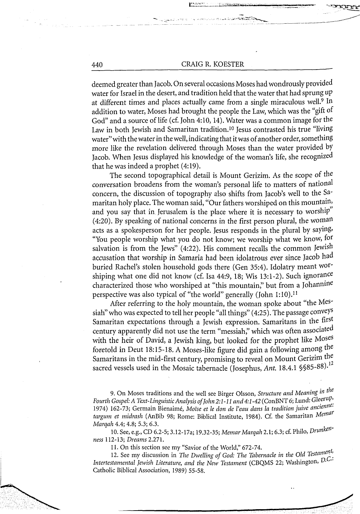بالإجليلين بيرزن

*deemed greater than Jacob. On several occasions Moses had wondrously provided waterfor Israel in the desert, and tradition held that the water that had sprung up at different times and places actually came from a single miraculous well.<sup>9</sup> In addition to water, Moses had brought the people the Law, which was the "gift of God" and a source oflife (cf. John 4:10, 14). Water was a common image for the Law in both Jewish and Samaritan tradition.<sup>10</sup> Jesus contrasted his true "living water"with the waterin thewell, indicating that itwas ofanother order,something more like the revelation delivered through Moses than the water provided by Jacob. When Jesus displayed his knowledge of the woman's life, she recognized that he was indeed a prophet (4:19).*

*The second topographical detail is Mount Gerizim. As the scope of the conversation broadens from the woman's personal life to matters of national concern, the discussion of topography also shifts from Jacob's well to the Samaritan holy place. The woman said, "Our fathers worshiped on this mountain, and you say that in Jerusalem is the place where it is necessary to worship (4:20). By speaking of national concerns in the first person plural, the woman acts as a spokesperson for her people. Jesus responds in the plural by saying, You people worship what you do not know; we worship what we know, for salvation is from the Jews" (4:22). His comment recalls the common Jewish accusation that worship in Samaria had been idolatrous ever since Jacob had buried Rachel's stolen household gods there (Gen 35:4). Idolatry meant worshiping what one did not know (cf. Isa 44:9, 18; Wis 13:1-2). Such ignorance characterized those who worshiped at "this mountain," but from a Johannine perspective was also typical of "the world" generally (John 1:10)J<sup>1</sup>*

*After referring to the holy mountain, the woman spoke about "the Messiah" who was expected to tell her people "all things" (4:25). The passage conveys Samaritan expectations through a Jewish expression. Samaritans in the first century apparently did not use the term "messiah," which was often associated with the heir of David, a Jewish king, but looked for the prophet like Moses foretold in Deut 18:15-18. A Moses-like figure did gain a following among the Samaritans in the mid-first century, promising to reveal on Mount Gerizim the sacred vessels used in the Mosaic tabernacle (Josephus, Ant. 18.4.1 §§85-88).<sup>12</sup>*

*9. On Moses traditions and the well see Birger Olsson, Structure and Meaning iu Fourth Gospel:A Text-LinguisticAnalysisofJohn2:1-11 and4:l-42(ConBNT6; Lund: Gleerup, 1974) 162-73; Germain Bienaime, Moise et le don de I'eau dans la tradition juive ancienttargum et midrash (AnBib 98; Rome: Biblical Institute, 1984). Cf. the Samaritan Metnaf Marqah 4.4; 4.8; 5.3; 6.3.*

*10. See, e.g., CD 6.2-5; 3.12- 17a; 19.32-35; Memar Marqah 2.1; 6.3; cf. Philo, Drunkenness 112-13; Dreams 2.271.*

*11. On this section see my "Savior ofthe World," 672-74.*

*12. See my discussion in The Dwelling of God: The Tabernacle in the Old Testament Intertestamental Jewish Literature, and the New Testament* (CBQMS 22; Washington, *D.C.*<sup>2</sup> *Catholic Biblical Association, 1989) 55-58.*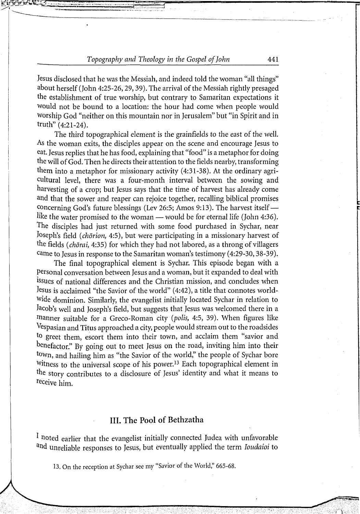*Jesus disclosed that he was the Messiah, and indeed told the woman "all things" about herself (John 4:25-26,29,39). The arrival of the Messiah rightly presaged the establishment of true worship, but contrary to Samaritan expectations it would not be bound to a location: the hour had come when people would worship God "neither on this mountain nor in Jerusalem" but "in Spirit and in truth" (4:21-24).*

*The third topographical element is the grainfields to the east of the well. As the woman exits, the disciples appear on the scene and encourage Jesus to eat. Jesus replies that he has food, explaining that "food" is a metaphor for doing the will ofGod. Then he directs their attention to the fields nearby, transforming them into a metaphor for missionary activity (4:31-38). At the ordinary agricultural level, there was a four-month interval between the sowing and harvesting of a crop; but Jesus says that the time of harvest has already come and that the sower and reaper can rejoice together, recalling biblical promises concerning God's future blessings (Lev 26:5; Amos 9:13). The harvest itself like the water promised to the woman — would be for eternal life (John 4:36). The disciples had just returned with some food purchased in Sychar, near Joseph's field (chorion, 4:5), but were participating in a missionary harvest of the fields (chorai, 4:35) for which they had not labored, as a throng of villagers came to Jesus in response to the Samaritan woman's testimony (4:29-30,38-39).*

*The final topographical element is Sychar. This episode began with a Personal conversation between Jesus and a woman, but it expanded to deal with issues of national differences and the Christian mission, and concludes when Jesus is acclaimed "the Savior of the world" (4:42), a title that connotes worldwide dominion. Similarly, the evangelist initially located Sychar in relation to Jacob's well and Joseph's field, but suggests that Jesus was welcomed there in a manner suitable for a Greco-Roman city (polis, 4:5, 39). When figures like Vespasian and Titus approached a city, people would stream out to the roadsides to greet them, escort them into their town, and acclaim them "savior and benefactor." By going out to meet Jesus on the road, inviting him into their town, and hailing him as "the Savior of the world," the people of Sychar bore Witness to the universal scope of his power.<sup>13</sup> Each topographical element in the story contributes to a disclosure of Jesus' identity and what it means to mceive him.*

#### *III. The Pool of Bethzatha*

*<sup>J</sup> noted earlier that the evangelist initially connected Judea with unfavorable and unreliable responses to Jesus, but eventually applied the term Ioudaioi to*

*13. On the reception at Sychar see my "Savior of the World," 665-68.*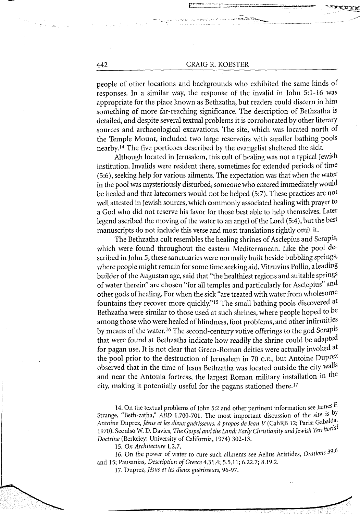*people of other locations and backgrounds who exhibited the same kinds of responses. In a similar way, the response of the invalid in John 5:1-16 was appropriate for the place known as Bethzatha, but readers could discern in him something of more far-reaching significance. The description of Bethzatha is detailed, and despite several textual problems it is corroborated by other literary sources and archaeological excavations. The site, which was located north of the Temple Mount, included two large reservoirs with smaller bathing pools nearby.<sup>14</sup> The five porticoes described by the evangelist sheltered the sick.*

*Although located in Jerusalem, this cult of healing was not a typical Jewish institution. Invalids were resident there, sometimes for extended periods oftime (5:6), seeking help for various ailments. The expectation was that when the water in the pool was mysteriously disturbed,someone who entered immediately would be healed and that latecomers would not be helped (5:7). These practices are not well attested in Jewish sources, which commonly associated healing with prayer to a God who did not reserve his favor for those best able to help themselves. Later legend ascribed the moving ofthe water to an angel ofthe Lord (5:4), but the best manuscripts do not include this verse and most translations rightly omit it.*

*The Bethzatha cult resembles the healing shrines ofAsclepius and Serapis> which were found throughout the eastern Mediterranean. Like the pool described in John 5, these sanctuaries were normally built beside bubbling springs> where people might remain forsome time seeking aid.Vitruvius Pollio, a leading builder ofthe Augustan age, said that "the healthiest regions and suitable springs ofwater therein" are chosen "for all temples and particularly for Asclepius" and other gods ofhealing. For when the sick "are treated with water from wholesome fountains they recover more quickly."<sup>15</sup> The small bathing pools discovered at Bethzatha were similar to those used at such shrines, where people hoped to be among those who were healed ofblindness, foot problems, and other infirmities by means ofthe water.<sup>16</sup> The second-century votive offerings to the god Serapis that were found at Bethzatha indicate how readily the shrine could be adapted for pagan use. It is not clear that Greco-Roman deities were actually invoked at the pool prior to the destruction of Jerusalem in 70 c.e., but Antoine Duprez observed that in the time of Jesus Bethzatha was located outside the city walls and near the Antonia fortress, the largest Roman military installation in the city, making it potentially useful for the pagans stationed there.<sup>17</sup>*

*14-On the textual problems ofJohn 5:2 and other pertinent information see James F Strange, Beth-zatha, ABD 1.700-701. The most important discussion of the site is by Antoine Duprez, Jisus et les dieuxguirisseurs, d propos de Jean V (CahRB 12; Paris: Gabalda, 1970). See also W. D. Davies, The Gospel and the Land: Early Christianity and Jewish Territorial Doctrine (Berkeley: University ofCalifornia, 1974) 302-13.*

*15. On Architecture 1.2.7.*

*16. On the power of water to cure such ailments see Aelius Aristides, Orations 39.6 and 15; Pausanias, Description of Greece 4.31.4; 5.5.11; 6.22.7; 8.19.2.*

*17. Duprez, Jesus et les dieux guirisseurs, 96-97.*

 $\mathcal{F}=\mathcal{D}^{\mathcal{G}}$  , we see also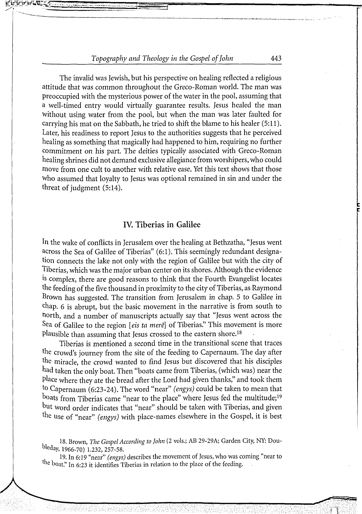*The invalid was Jewish, but his perspective on healing reflected a religious attitude that was common throughout the Greco-Roman world. The man was preoccupied with the mysterious power ofthe water in the pool, assuming that a well-timed entry would virtually guarantee results. Jesus healed the man without using water from the pool, but when the man was later faulted for carrying his mat on the Sabbath, he tried to shift the blame to his healer (5:11 J. Later, his readiness to report Jesus to the authorities suggests that he perceived healing as something that magically had happened to him, requiring no further commitment on his part. The deities typically associated with Greco-Roman healing shrines did not demand exclusive allegiance from worshipers, who could move from one cult to another with relative ease. Yet this text shows that those who assumed that loyalty to Jesus was optional remained in sin and under the threat ofjudgment (5:14).*

#### *IV. Tiberias in Galilee*

*In the wake of conflicts in Jerusalem over the healing at Bethzatha, "Jesus went across the Sea of Galilee of Tiberias" (6:1). This seemingly redundant designation connects the lake not only with the region of Galilee but with the city of Tiberias,which was the major urban center on its shores. Although the evidence is complex, there are good reasons to think that the Fourth Evangelist locates the feeding ofthe five thousand in proximity to the city ofTiberias, as Raymond Brown has suggested. The transition from Jerusalem in chap. 5 to Galilee in chap. 6 is abrupt, but the basic movement in the narrative is from south to north, and a number of manuscripts actually say that "Jesus went across the Sea of Galilee to the region [cis ta mere] of Tiberias." This movement is more plausible than assuming that Jesus crossed to the eastern shore.<sup>18</sup>*

*Tiberias is mentioned a second time in the transitional scene that traces the crowd's journey from the site of the feeding to Capernaum. The day after the miracle, the crowd wanted to find Jesus but discovered that his disciples had taken the only boat. Then "boats came from Tiberias, (which was) near the place where they ate the bread after the Lord had given thanks," and took them to Capernaum (6:23-24). The word "near" (engys) could be taken to mean that boats from Tiberias came "near to the place" where Jesus fed the multitude;<sup>19</sup> hut word order indicates that "near" should be taken with Tiberias, and given the use of "near" (engys) with place-names elsewhere in the Gospel, it is best*

*19. In 6:19 "near" (engys) describes the movement ofJesus, who was coming "near to the boat." In 6:23 it identifies Tiberias in relation to the place of the feeding.*

*<sup>18.</sup> Brown, The Gospel According to John (2 vols.; AB 29-29A; Garden City, NY. Doubkday, 1966-70) 1.232, 257-58.*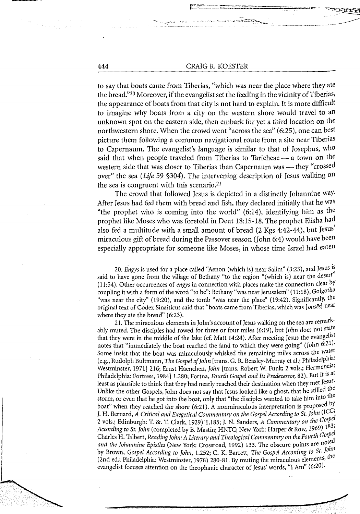*to say that boats came from Tiberias, "which was near the place where they ate the bread."<sup>20</sup> Moreover, ifthe evangelistset the feeding in the vicinity ofTiberias, the appearance of boats from that city is not hard to explain. It is more difficult to imagine why boats from a city on the western shore would travel to an unknown spot on the eastern side, then embark for yet a third location on the northwestern shore. When the crowd went "across the sea" (6:25), one can best picture them following a common navigational route from a site near Tiberias to Capernaum. The evangelist's language is similar to that of Josephus, who said that when people traveled from Tiberias to Taricheae — a town on the western side that was closer to Tiberias than Capernaum was — they "crossed over" the sea (Life 59 §304). The intervening description of Jesus walking on the sea is congruent with this scenario.<sup>21</sup>*

*The crowd that followed Jesus is depicted in a distinctly Johannine way. After Jesus had fed them with bread and fish, they declared initially that he was "the prophet who is coming into the world" (6:14), identifying him as the prophet like Moses who was foretold in Deut 18:15-18. The prophet Elisha had also fed a multitude with a small amount of bread (2 Kgs 4:42-44), but Jesus miraculous gift ofbread during the Passover season (John 6:4) would have been especially appropriate for someone like Moses, in whose time Israel had eaten*

*20. Engys is used for a place called "Aenon (which is) near Salim" (3:23), and Jesus is* said to have gone from the village of Bethany "to the region "(which is) near the desert" *(11:54). Other occurrences of engys in connection with places make the connection clear by* coupling it with a form of the word "to be": Bethany "was near Jerusalem" (11:18), Golgotha *"was near the city" (19:20), and the tomb "was near the place" (19:42). Significantly, the original text of Codex Sinaiticus said that "boats came from Tiberias, which was [ ouses] near where they ate the bread" (6:23).*

*21. The miraculous elements in John's account ofJesus walking on the sea are remarkably muted. The disciples had rowed for three or four miles (6:19), but John does not state that they were in the middle of the lake (cf. Matt 14:24). After meeting Jesus the evangelist notes that "immediately the boat reached the land to which they were going" (John 6:21)- Some insist that the boat was miraculously whisked the remaining miles across the water (e.g., Rudolph Bultmann, The Gospel ofJohn [trans. G. R. Beasley-Murray et al.; Philadelphia<sup>1</sup> Westminster, 1971] 216; Ernst Haenchen, John [trans. Robert W. Funk; 2 vols.; Hermeneia; Philadelphia: Fortress, 1984] 1.280; Fortna, Fourth Gospel and Its Predecessor, 82). But it is at least as plausible to think that they had nearly reached their destination when theymet Jesus. Unlike the other Gospels, John does not say that Jesus looked like a ghost, that he stilled the* storm, or even that he got into the boat, only that "the disciples wanted to take him into the *boat when they reached the shore (6:21). A nonmiraculous interpretation is proposed by J. H. Bernard, A Critical and Exegetical Commentary on the Gospel According to St. John (ICG 2 vols.; Edinburgh: T. 8c. T. Clark, 1929) T.185; J. N. Sanders, A Commentary on the Gospe According to St. John (completed by B. Mastin; HNTC; New York: Harper & Row, 1969) I83' Charles H. Talbert, ReadingJohn: A Literary and Theological Commentary on theFourth Gospe and the Johannine Epistles (New York: Crossroad, 1992) 133. The obscure points are noted by* Brown, *Gospel According to John,* 1.252; *C. K.* Barrett, *The Gospel According to St. John (2nd ed.; Philadelphia; Westminster, 1978) 280-81. By muting the miraculous elements, evangelist focuses attention on the theophanic character ofJesus' words, "I Am" (6:20).*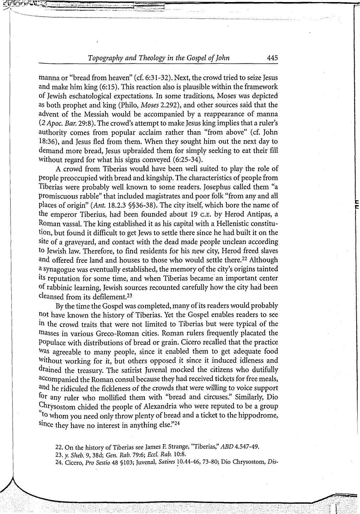*manna or "bread from heaven" (cf. 6:31-32). Next, the crowd tried to seize Jesus and make him king (6:15). This reaction also is plausible within the framework of Jewish eschatological expectations. In some traditions, Moses was depicted as both prophet and king (Philo, Moses 2.292), and other sources said that the advent of the Messiah would be accompanied by a reappearance of manna (2 Apoc. Bar. 29:8). The crowd's attempt to make Jesus king implies that a ruler's authority comes from popular acclaim rather than "from above" (cf. John 18:36), and Jesus fled from them. When they sought him out the next day to demand more bread, Jesus upbraided them for simply seeking to eat their fill without regard for what his signs conveyed (6:25-34).*

*A crowd from Tiberias would have been well suited to play the role of people preoccupied with bread and kingship. The characteristics of people from Tiberias were probably well known to some readers. Josephus called them "a promiscuous rabble" that included magistrates and poor folk "from any and all places of origin" (Ant. 18.2.3 §§36-38). The city itself, which bore the name of the emperor Tiberius, had been founded about 19 c.e. by Herod Antipas, a Roman vassal. The king established it as his capital with a Hellenistic constitution, but found it difficult to get Jews to settle there since he had built it on the site of a graveyard, and contact with the dead made people unclean according to Jewish law. Therefore, to find residents for his new city, Herod freed slaves and offered free land and houses to those who would settle there.<sup>22</sup> Although a synagogue was eventually established, the memory ofthe city's origins tainted its reputation for some time, and when Tiberias became an important center of rabbinic learning, Jewish sources recounted carefully how the city had been cleansed from its defilement.<sup>23</sup>*

*By the time the Gospel was completed, many ofits readers would probably not have known the history of Tiberias. Yet the Gospel enables readers to see in the crowd traits that were not limited to Tiberias but were typical of the masses in various Greco-Roman cities. Roman rulers frequently placated the Populace with distributions of bread or grain. Cicero recalled that the practice was agreeable to many people, since it enabled them to get adequate food without working for it, but others opposed it since it induced idleness and drained the treasury. The satirist Juvenal mocked the citizens who dutifully accompanied the Roman consul because they had received tickets for free meals, and he ridiculed the fickleness ofthe crowds that were willing to voice support f°r any ruler who mollified them with "bread and circuses." Similarly, Dio Chrysostom chided the people of Alexandria who were reputed to be a group to whom you need only throw plenty of bread and a ticket to the hippodrome, smce they have no interest in anything else."<sup>24</sup>*

*22. On the history of Tiberias see James F. Strange, "Tiberias," ABD 4.547-49.*

*23. y. Sheb. 9, 38d; Gen. Rab. 79:6; Eccl. Rab. 10:8.*

*24. Cicero, Pro Sestio 48 §103; Juvenal, Satires 10.44-46, 73-80; Dio Chrysostom, Dis-*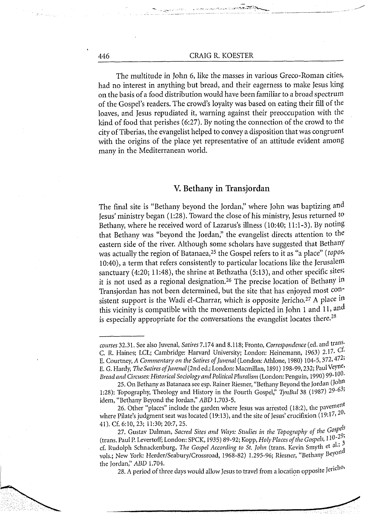*The multitude in John 6, like the masses in various Greco-Roman cities, had no interest in anything but bread, and their eagerness to make Jesus king on the basis ofa food distribution would have been familiar to a broad spectrum of the Gospel's readers. The crowd's loyalty was based on eating their fill of the loaves, and Jesus repudiated it, warning against their preoccupation with the kind of food that perishes (6:27). By noting the connection of the crowd to the city ofTiberias, the evangelist helped to convey a disposition that was congruent with the origins of the place yet representative of an attitude evident among many in the Mediterranean world.*

#### *V. Bethany in Transjordan*

*The final site is "Bethany beyond the Jordan," where John was baptizing and Jesus' ministry began (1:28). Toward the close ofhis ministry, Jesus returned to Bethany, where he received word of Lazarus's illness (10:40; 11:1-3). By noting that Bethany was "beyond the Jordan," the evangelist directs attention to the eastern side of the river. Although some scholars have suggested that Bethany was actually the region ofBatanaea,<sup>25</sup> the Gospel refers to it as "a place" (topos, 10:40), a term that refers consistently to particular locations like the Jerusalem sanctuary (4:20; 11:48), the shrine at Bethzatha (5:13), and other specific sites; it is not used as a regional designation.<sup>26</sup> The precise location of Bethany in Transjordan has not been determined, but the site that has enjoyed most consistent support is the Wadi el-Charrar, which is opposite Jericho.<sup>27</sup> A place in this vicinity is compatible with the movements depicted in John <sup>1</sup> and 11, and is especially appropriate for the conversations the evangelist locates there.<sup>28</sup>*

*28. A period ofthree days would allow Jesus to travel from a location opposite Jeric*

*courses 32.31. See also Juvenal, Satires 7.174 and 8.118; Pronto, Correspondence (ed. and trans-C. R. Haines; LCL; Cambridge: Harvard University; London: Heinemann, 1963) 2.17. Gt-E. Courtney, A Commentary on the Satires ofJuvenal (London: Athlone, 1980) 104-5,372,472, E. G. Hardy, The Satires ofJuvenal(2nd ed.; London: Macmillan, 1891) 198-99,232; PaulVeyne, Bread and Circuses: Historical Sociology and Political Pluralism (London: Penguin, 1990) 99-10^*

*<sup>25.</sup> On Bethany as Batanaea see esp. Rainer Riesner, "BethanyBeyond the Jordan (John 1:28): Topography, Theology and History in the Fourth Gospel," TynBul 38 (1987) 29-6 , idem, "Bethany Beyond the Jordan," ABD 1.703-5.*

*<sup>26.</sup> Other "places" include the garden where Jesus was arrested (18:2), the paverne where Pilate's judgment seat was located (19:13), and the site ofJesus' crucifixion (19:17,2 41). Cf. 6:10, 23; ll:30;20:7,25.*

*<sup>27.</sup> Gustav Dalman, Sacred Sites and Ways: Studies in the Topography of the G°5<sup>P</sup> (trans. Paul P. Levertoff; London: SPCK, 1935) 89-92; Kopp, HolyPlaces ofthe Gospels, 110-2 cf. Rudolph Schnackenburg, The Gospel According to St. John (trans. Kevin Smyth et al., vols.; New York: Herder/Seabury/Crossroad, 1968-82) 1.295-96; Riesner, "Bethany Bey<sup>011</sup> the Jordan," ABD 1.704. \_ .*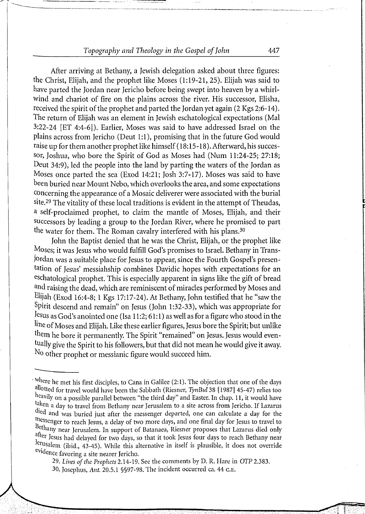*After arriving at Bethany, a Jewish delegation asked about three figures: the Christ, Elijah, and the prophet like Moses (1:19-21, 25). Elijah was said to have parted the Jordan near Jericho before being swept into heaven by a whirlwind and chariot of fire on the plains across the river. His successor, Elisha, received the spirit ofthe prophet and parted the Jordan yet again (2 Kgs 2:6-14). The return of Elijah was an element in Jewish eschatological expectations (Mai 3:22-24 [ET 4:4-6]). Earlier, Moses was said to have addressed Israel on the plains across from Jericho (Deut 1:1), promising that in the future God would raise up for them another prophet like himself(18:15-18). Afterward, his successor, Joshua, who bore the Spirit of God as Moses had (Num 11:24-25; 27:18; Deut 34:9), led the people into the land by parting the waters of the Jordan as Moses once parted the sea (Exod 14:21; Josh 3:7-17). Moses was said to have been buried near Mount Nebo, which overlooks the area, and some expectations concerning the appearance of a Mosaic deliverer were associated with the burial site.<sup>29</sup> The vitality ofthese local traditions is evident in the attempt ofTheudas, a self-proclaimed prophet, to claim the mantle of Moses, Elijah, and their successors by leading a group to the Jordan River, where he promised to part the water for them. The Roman cavalry interfered with his plans.<sup>30</sup>*

*John the Baptist denied that he was the Christ, Elijah, or the prophet like Moses; it was Jesus who would fulfill God's promises to Israel. Bethany in Transjordan was a suitable place for Jesus to appear, since the Fourth Gospel's presentation of Jesus' messiahship combines Davidic hopes with expectations for an eschatological prophet. This is especially apparent in signs like the gift of bread and raising the dead, which are reminiscent ofmiracles performed by Moses and Elijah (Exod 16:4-8; <sup>1</sup> Kgs 17:17-24). At Bethany, John testified that he "saw the Spirit descend and remain" on Jesus (John 1:32-33), which was appropriate for* Jesus as God's anointed one (Isa 11:2; 61:1) as well as for a figure who stood in the *line ofMoses and Elijah. Like these earlier figures, Jesus bore the Spirit; but unlike them he bore it permanently. The Spirit "remained" on Jesus. Jesus would eventually give the Spirit to his followers, but that did not mean he would give it away. No other prophet or messianic figure would succeed him.*

*<sup>&#</sup>x27;''here he met his first disciples, to Cana in Galilee (2:1). The objection that one ofthe days allotted for travel would have been the Sabbath (Riesner, TynBul 38 [1987] 45-47) relies too* heavily on a possible parallel between "the third day" and Easter. In chap. 11, it would have *taken a day to travel from Bethany near Jerusalem to a site across from Jericho. If Lazarus tleil and was buried just after the messenger departed, one can calculate a day for the* messenger to reach Jesus, a delay of two more days, and one final day for Jesus to travel to *ethany near Jerusalem. In support of Batanaea, Riesner proposes that Lazarus died only atter Jesus had delayed for two days, so that it took Jesus four days to reach Bethany near ,e)usalem (ibid., 43-45). While this alternative in itself is plausible, it does not override evidence favoring a site nearer Jericho.*

*<sup>29.</sup> Lives ofthe Prophets 2.14-19. See the comments by D. R. Hare in OTP 2.383.*

*<sup>30.</sup> Josephus, Ant. 20.5.1 §§97-98. The incident occurred ca. 44 c.e.*